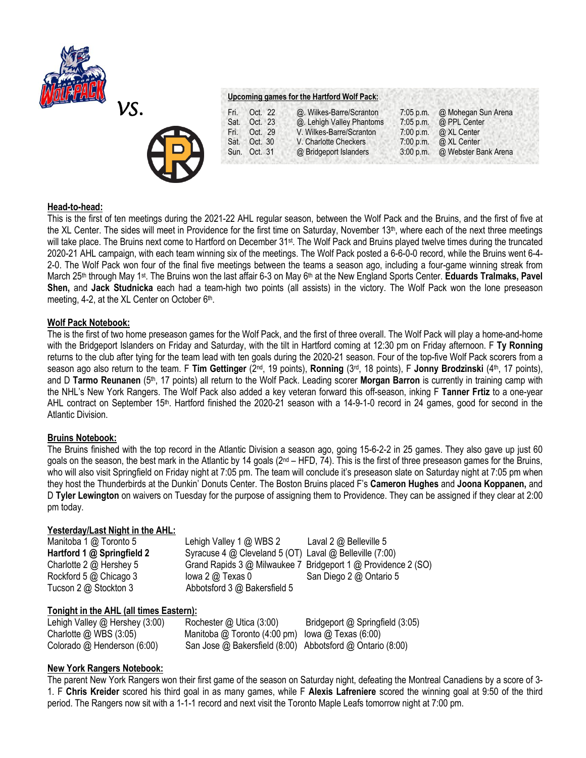



# **Upcoming games for the Hartford Wolf Pack:**

| Fri. | Oct. 22      | @. Wilkes-Barre/Scranton  | $7:05$ p.m. | @ Mohegan Sun Arena  |
|------|--------------|---------------------------|-------------|----------------------|
| Sat. | Oct. 23      | @. Lehigh Valley Phantoms | 7:05 p.m.   | @ PPL Center         |
| Fri. | Oct. 29      | V. Wilkes-Barre/Scranton  | $7:00$ p.m. | @ XL Center          |
| Sat. | Oct. 30      | V. Charlotte Checkers     | 7:00 p.m.   | @ XL Center          |
|      | Sun. Oct. 31 | @ Bridgeport Islanders    | $3:00$ p.m. | @ Webster Bank Arena |

# **Head-to-head:**

This is the first of ten meetings during the 2021-22 AHL regular season, between the Wolf Pack and the Bruins, and the first of five at the XL Center. The sides will meet in Providence for the first time on Saturday, November  $13<sup>th</sup>$ , where each of the next three meetings will take place. The Bruins next come to Hartford on December 31st. The Wolf Pack and Bruins played twelve times during the truncated 2020-21 AHL campaign, with each team winning six of the meetings. The Wolf Pack posted a 6-6-0-0 record, while the Bruins went 6-4- 2-0. The Wolf Pack won four of the final five meetings between the teams a season ago, including a four-game winning streak from March 25<sup>th</sup> through May 1<sup>st</sup>. The Bruins won the last affair 6-3 on May 6<sup>th</sup> at the New England Sports Center. Eduards Tralmaks, Pavel **Shen,** and **Jack Studnicka** each had a team-high two points (all assists) in the victory. The Wolf Pack won the lone preseason meeting, 4-2, at the XL Center on October 6<sup>th</sup>.

# **Wolf Pack Notebook:**

The is the first of two home preseason games for the Wolf Pack, and the first of three overall. The Wolf Pack will play a home-and-home with the Bridgeport Islanders on Friday and Saturday, with the tilt in Hartford coming at 12:30 pm on Friday afternoon. F **Ty Ronning**  returns to the club after tying for the team lead with ten goals during the 2020-21 season. Four of the top-five Wolf Pack scorers from a season ago also return to the team. F Tim Gettinger (2<sup>nd</sup>, 19 points), Ronning (3<sup>rd</sup>, 18 points), F Jonny Brodzinski (4<sup>th</sup>, 17 points), and D **Tarmo Reunanen** (5th, 17 points) all return to the Wolf Pack. Leading scorer **Morgan Barron** is currently in training camp with the NHL's New York Rangers. The Wolf Pack also added a key veteran forward this off-season, inking F **Tanner Frtiz** to a one-year AHL contract on September 15<sup>th</sup>. Hartford finished the 2020-21 season with a 14-9-1-0 record in 24 games, good for second in the Atlantic Division.

### **Bruins Notebook:**

The Bruins finished with the top record in the Atlantic Division a season ago, going 15-6-2-2 in 25 games. They also gave up just 60 goals on the season, the best mark in the Atlantic by 14 goals (2<sup>nd</sup> – HFD, 74). This is the first of three preseason games for the Bruins, who will also visit Springfield on Friday night at 7:05 pm. The team will conclude it's preseason slate on Saturday night at 7:05 pm when they host the Thunderbirds at the Dunkin' Donuts Center. The Boston Bruins placed F's **Cameron Hughes** and **Joona Koppanen,** and D **Tyler Lewington** on waivers on Tuesday for the purpose of assigning them to Providence. They can be assigned if they clear at 2:00 pm today.

# **Yesterday/Last Night in the AHL:**

| Manitoba 1 @ Toronto 5     | Lehigh Valley $1 \text{ @ WBS} 2$                       | Laval $2 \text{ } \textcircled{a}$ Belleville 5               |
|----------------------------|---------------------------------------------------------|---------------------------------------------------------------|
| Hartford 1 @ Springfield 2 | Syracuse 4 @ Cleveland 5 (OT) Laval @ Belleville (7:00) |                                                               |
| Charlotte 2 @ Hershey 5    |                                                         | Grand Rapids 3 @ Milwaukee 7 Bridgeport 1 @ Providence 2 (SO) |
| Rockford 5 @ Chicago 3     | lowa $2 \omega$ Texas $0$                               | San Diego 2 @ Ontario 5                                       |
| Tucson 2 @ Stockton 3      | Abbotsford 3 @ Bakersfield 5                            |                                                               |

# **Tonight in the AHL (all times Eastern):**

Lehigh Valley @ Hershey (3:00) Rochester @ Utica (3:00) Bridgeport @ Springfield (3:05) Charlotte @ WBS (3:05) Manitoba @ Toronto (4:00 pm) Iowa @ Texas (6:00) Colorado @ Henderson (6:00) San Jose @ Bakersfield (8:00) Abbotsford @ Ontario (8:00)

# **New York Rangers Notebook:**

The parent New York Rangers won their first game of the season on Saturday night, defeating the Montreal Canadiens by a score of 3- 1. F **Chris Kreider** scored his third goal in as many games, while F **Alexis Lafreniere** scored the winning goal at 9:50 of the third period. The Rangers now sit with a 1-1-1 record and next visit the Toronto Maple Leafs tomorrow night at 7:00 pm.